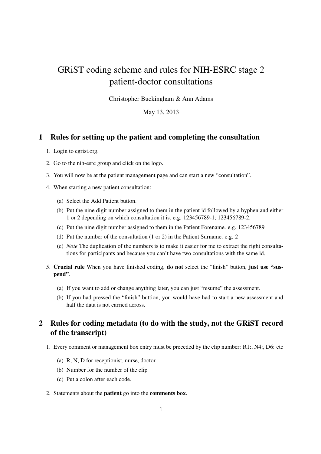## GRiST coding scheme and rules for NIH-ESRC stage 2 patient-doctor consultations

Christopher Buckingham & Ann Adams

May 13, 2013

## 1 Rules for setting up the patient and completing the consultation

- 1. Login to egrist.org.
- 2. Go to the nih-esrc group and click on the logo.
- 3. You will now be at the patient management page and can start a new "consultation".
- 4. When starting a new patient consultation:
	- (a) Select the Add Patient button.
	- (b) Put the nine digit number assigned to them in the patient id followed by a hyphen and either 1 or 2 depending on which consultation it is. e.g. 123456789-1; 123456789-2.
	- (c) Put the nine digit number assigned to them in the Patient Forename. e.g. 123456789
	- (d) Put the number of the consultation (1 or 2) in the Patient Surname. e.g. 2
	- (e) *Note* The duplication of the numbers is to make it easier for me to extract the right consultations for participants and because you can't have two consultations with the same id.
- 5. Crucial rule When you have finished coding, do not select the "finish" button, just use "suspend".
	- (a) If you want to add or change anything later, you can just "resume" the assessment.
	- (b) If you had pressed the "finish" buttion, you would have had to start a new assessment and half the data is not carried across.

## 2 Rules for coding metadata (to do with the study, not the GRiST record of the transcript)

- 1. Every comment or management box entry must be preceded by the clip number: R1:, N4:, D6: etc
	- (a) R, N, D for receptionist, nurse, doctor.
	- (b) Number for the number of the clip
	- (c) Put a colon after each code.
- 2. Statements about the patient go into the comments box.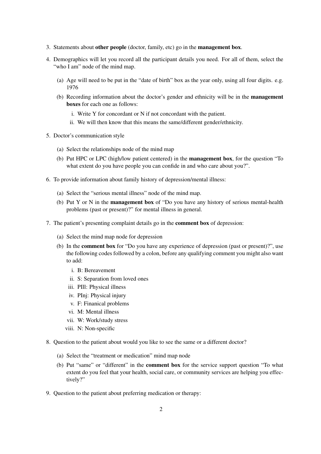- 3. Statements about other people (doctor, family, etc) go in the management box.
- 4. Demographics will let you record all the participant details you need. For all of them, select the "who I am" node of the mind map.
	- (a) Age will need to be put in the "date of birth" box as the year only, using all four digits. e.g. 1976
	- (b) Recording information about the doctor's gender and ethnicity will be in the management boxes for each one as follows:
		- i. Write Y for concordant or N if not concordant with the patient.
		- ii. We will then know that this means the same/different gender/ethnicity.
- 5. Doctor's communication style
	- (a) Select the relationships node of the mind map
	- (b) Put HPC or LPC (high/low patient centered) in the management box, for the question "To what extent do you have people you can confide in and who care about you?".
- 6. To provide information about family history of depression/mental illness:
	- (a) Select the "serious mental illness" node of the mind map.
	- (b) Put Y or N in the management box of "Do you have any history of serious mental-health problems (past or present)?" for mental illness in general.
- 7. The patient's presenting complaint details go in the comment box of depression:
	- (a) Select the mind map node for depression
	- (b) In the comment box for "Do you have any experience of depression (past or present)?", use the following codes followed by a colon, before any qualifying comment you might also want to add:
		- i. B: Bereavement
		- ii. S: Separation from loved ones
		- iii. PIll: Physical illness
		- iv. PInj: Physical injury
		- v. F: Finanical problems
		- vi. M: Mental illness
		- vii. W: Work/study stress
		- viii. N: Non-specific
- 8. Question to the patient about would you like to see the same or a different doctor?
	- (a) Select the "treatment or medication" mind map node
	- (b) Put "same" or "different" in the comment box for the service support question "To what extent do you feel that your health, social care, or community services are helping you effectively?"
- 9. Question to the patient about preferring medication or therapy: